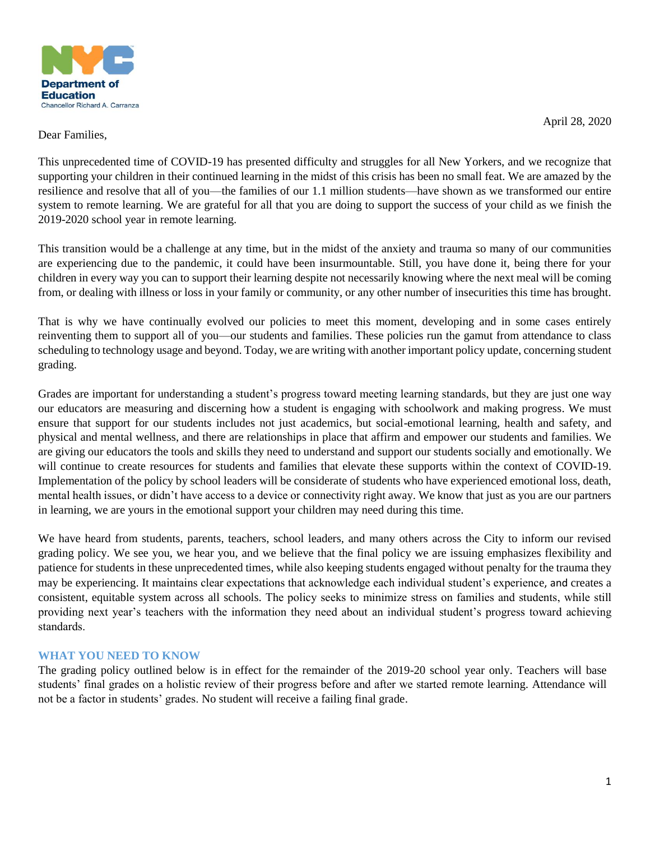

April 28, 2020

## Dear Families,

This unprecedented time of COVID-19 has presented difficulty and struggles for all New Yorkers, and we recognize that supporting your children in their continued learning in the midst of this crisis has been no small feat. We are amazed by the resilience and resolve that all of you—the families of our 1.1 million students—have shown as we transformed our entire system to remote learning. We are grateful for all that you are doing to support the success of your child as we finish the 2019-2020 school year in remote learning.

This transition would be a challenge at any time, but in the midst of the anxiety and trauma so many of our communities are experiencing due to the pandemic, it could have been insurmountable. Still, you have done it, being there for your children in every way you can to support their learning despite not necessarily knowing where the next meal will be coming from, or dealing with illness or loss in your family or community, or any other number of insecurities this time has brought.

That is why we have continually evolved our policies to meet this moment, developing and in some cases entirely reinventing them to support all of you—our students and families. These policies run the gamut from attendance to class scheduling to technology usage and beyond. Today, we are writing with another important policy update, concerning student grading.

Grades are important for understanding a student's progress toward meeting learning standards, but they are just one way our educators are measuring and discerning how a student is engaging with schoolwork and making progress. We must ensure that support for our students includes not just academics, but social-emotional learning, health and safety, and physical and mental wellness, and there are relationships in place that affirm and empower our students and families. We are giving our educators the tools and skills they need to understand and support our students socially and emotionally. We will continue to create resources for students and families that elevate these supports within the context of COVID-19. Implementation of the policy by school leaders will be considerate of students who have experienced emotional loss, death, mental health issues, or didn't have access to a device or connectivity right away. We know that just as you are our partners in learning, we are yours in the emotional support your children may need during this time.

We have heard from students, parents, teachers, school leaders, and many others across the City to inform our revised grading policy. We see you, we hear you, and we believe that the final policy we are issuing emphasizes flexibility and patience for students in these unprecedented times, while also keeping students engaged without penalty for the trauma they may be experiencing. It maintains clear expectations that acknowledge each individual student's experience, and creates a consistent, equitable system across all schools. The policy seeks to minimize stress on families and students, while still providing next year's teachers with the information they need about an individual student's progress toward achieving standards.

## **WHAT YOU NEED TO KNOW**

The grading policy outlined below is in effect for the remainder of the 2019-20 school year only. Teachers will base students' final grades on a holistic review of their progress before and after we started remote learning. Attendance will not be a factor in students' grades. No student will receive a failing final grade.